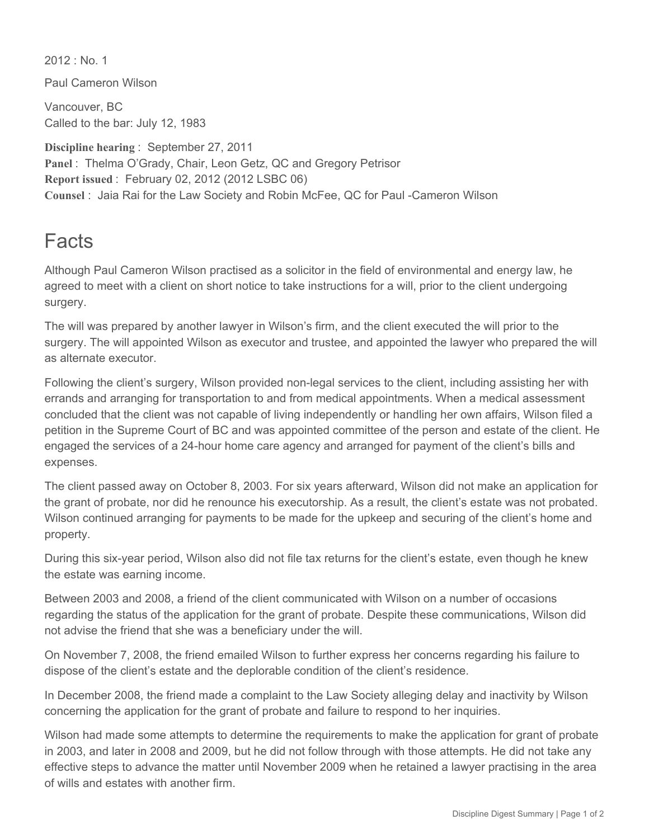$2012 \cdot$  No. 1

Paul Cameron Wilson

Vancouver, BC Called to the bar: July 12, 1983

**Discipline hearing** : September 27, 2011 **Panel** : Thelma O'Grady, Chair, Leon Getz, QC and Gregory Petrisor **Report issued** : February 02, 2012 (2012 LSBC 06) **Counsel** : Jaia Rai for the Law Society and Robin McFee, QC for Paul Cameron Wilson

## Facts

Although Paul Cameron Wilson practised as a solicitor in the field of environmental and energy law, he agreed to meet with a client on short notice to take instructions for a will, prior to the client undergoing surgery.

The will was prepared by another lawyer in Wilson's firm, and the client executed the will prior to the surgery. The will appointed Wilson as executor and trustee, and appointed the lawyer who prepared the will as alternate executor.

Following the client's surgery, Wilson provided non-legal services to the client, including assisting her with errands and arranging for transportation to and from medical appointments. When a medical assessment concluded that the client was not capable of living independently or handling her own affairs, Wilson filed a petition in the Supreme Court of BC and was appointed committee of the person and estate of the client. He engaged the services of a 24hour home care agency and arranged for payment of the client's bills and expenses.

The client passed away on October 8, 2003. For six years afterward, Wilson did not make an application for the grant of probate, nor did he renounce his executorship. As a result, the client's estate was not probated. Wilson continued arranging for payments to be made for the upkeep and securing of the client's home and property.

During this six-year period, Wilson also did not file tax returns for the client's estate, even though he knew the estate was earning income.

Between 2003 and 2008, a friend of the client communicated with Wilson on a number of occasions regarding the status of the application for the grant of probate. Despite these communications, Wilson did not advise the friend that she was a beneficiary under the will.

On November 7, 2008, the friend emailed Wilson to further express her concerns regarding his failure to dispose of the client's estate and the deplorable condition of the client's residence.

In December 2008, the friend made a complaint to the Law Society alleging delay and inactivity by Wilson concerning the application for the grant of probate and failure to respond to her inquiries.

Wilson had made some attempts to determine the requirements to make the application for grant of probate in 2003, and later in 2008 and 2009, but he did not follow through with those attempts. He did not take any effective steps to advance the matter until November 2009 when he retained a lawyer practising in the area of wills and estates with another firm.